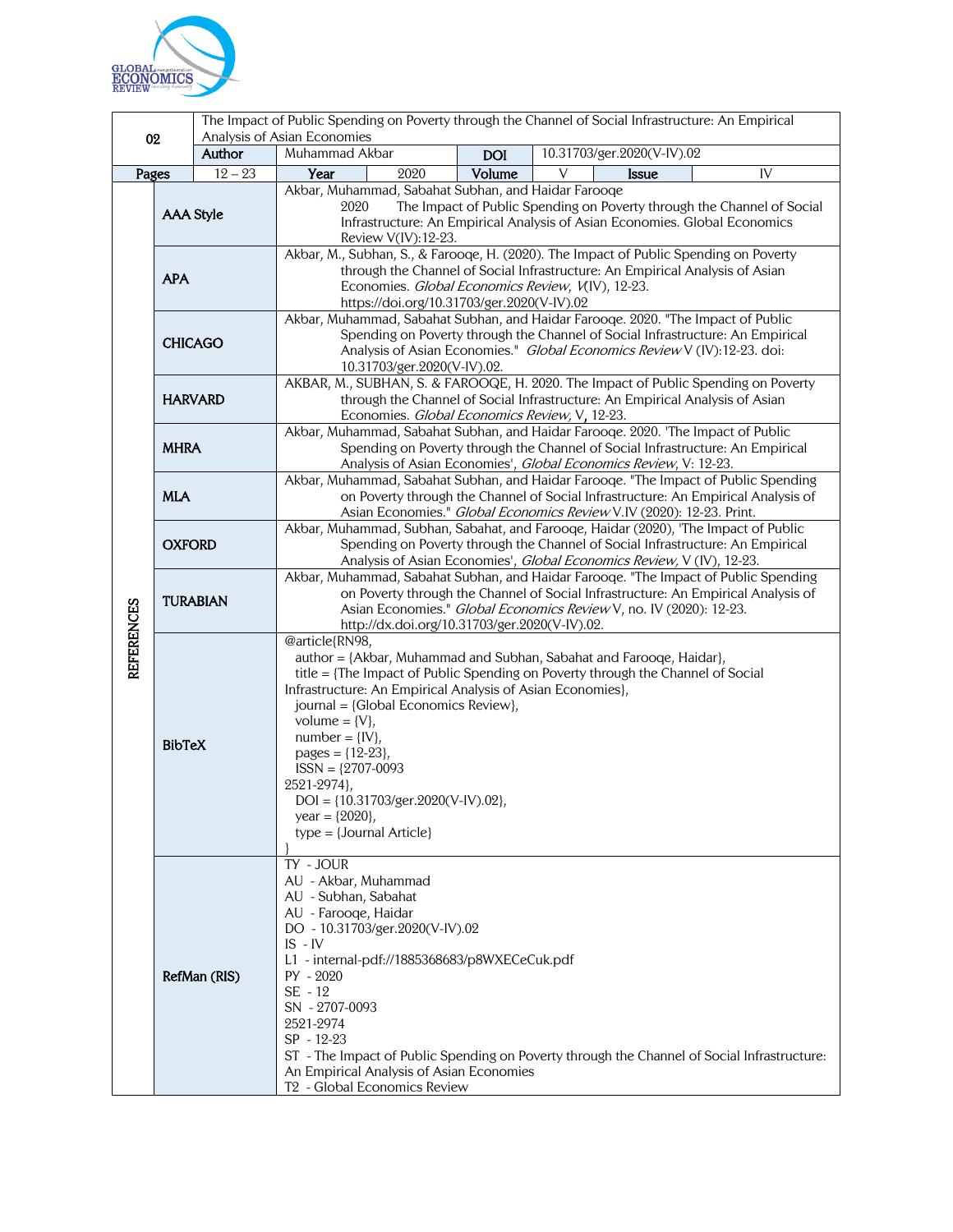

|                   |                  |           | The Impact of Public Spending on Poverty through the Channel of Social Infrastructure: An Empirical                                                                                                                                                                                                                                                                                                                                                                                    |      |            |                            |              |    |  |
|-------------------|------------------|-----------|----------------------------------------------------------------------------------------------------------------------------------------------------------------------------------------------------------------------------------------------------------------------------------------------------------------------------------------------------------------------------------------------------------------------------------------------------------------------------------------|------|------------|----------------------------|--------------|----|--|
| 02                |                  | Author    | Analysis of Asian Economies<br>Muhammad Akbar                                                                                                                                                                                                                                                                                                                                                                                                                                          |      | <b>DOI</b> | 10.31703/ger.2020(V-IV).02 |              |    |  |
| Pages             |                  | $12 - 23$ | Year                                                                                                                                                                                                                                                                                                                                                                                                                                                                                   | 2020 | Volume     | V                          | <b>Issue</b> | IV |  |
|                   | <b>AAA Style</b> |           | Akbar, Muhammad, Sabahat Subhan, and Haidar Farooqe<br>2020<br>The Impact of Public Spending on Poverty through the Channel of Social<br>Infrastructure: An Empirical Analysis of Asian Economies. Global Economics<br>Review V(IV):12-23.                                                                                                                                                                                                                                             |      |            |                            |              |    |  |
|                   | <b>APA</b>       |           | Akbar, M., Subhan, S., & Farooqe, H. (2020). The Impact of Public Spending on Poverty<br>through the Channel of Social Infrastructure: An Empirical Analysis of Asian<br>Economies. Global Economics Review, V(IV), 12-23.<br>https://doi.org/10.31703/ger.2020(V-IV).02                                                                                                                                                                                                               |      |            |                            |              |    |  |
|                   | <b>CHICAGO</b>   |           | Akbar, Muhammad, Sabahat Subhan, and Haidar Farooqe. 2020. "The Impact of Public<br>Spending on Poverty through the Channel of Social Infrastructure: An Empirical<br>Analysis of Asian Economies." Global Economics Review V (IV):12-23. doi:<br>10.31703/ger.2020(V-IV).02.                                                                                                                                                                                                          |      |            |                            |              |    |  |
| <b>REFERENCES</b> | <b>HARVARD</b>   |           | AKBAR, M., SUBHAN, S. & FAROOQE, H. 2020. The Impact of Public Spending on Poverty<br>through the Channel of Social Infrastructure: An Empirical Analysis of Asian<br>Economies. Global Economics Review, V, 12-23.                                                                                                                                                                                                                                                                    |      |            |                            |              |    |  |
|                   | <b>MHRA</b>      |           | Akbar, Muhammad, Sabahat Subhan, and Haidar Farooqe. 2020. 'The Impact of Public<br>Spending on Poverty through the Channel of Social Infrastructure: An Empirical<br>Analysis of Asian Economies', Global Economics Review, V: 12-23.                                                                                                                                                                                                                                                 |      |            |                            |              |    |  |
|                   | <b>MLA</b>       |           | Akbar, Muhammad, Sabahat Subhan, and Haidar Farooqe. "The Impact of Public Spending<br>on Poverty through the Channel of Social Infrastructure: An Empirical Analysis of<br>Asian Economies." Global Economics Review V.IV (2020): 12-23. Print.                                                                                                                                                                                                                                       |      |            |                            |              |    |  |
|                   | <b>OXFORD</b>    |           | Akbar, Muhammad, Subhan, Sabahat, and Farooqe, Haidar (2020), 'The Impact of Public<br>Spending on Poverty through the Channel of Social Infrastructure: An Empirical<br>Analysis of Asian Economies', Global Economics Review, V (IV), 12-23.                                                                                                                                                                                                                                         |      |            |                            |              |    |  |
|                   | <b>TURABIAN</b>  |           | Akbar, Muhammad, Sabahat Subhan, and Haidar Farooqe. "The Impact of Public Spending<br>on Poverty through the Channel of Social Infrastructure: An Empirical Analysis of<br>Asian Economies." Global Economics Review V, no. IV (2020): 12-23.<br>http://dx.doi.org/10.31703/ger.2020(V-IV).02.                                                                                                                                                                                        |      |            |                            |              |    |  |
|                   | <b>BibTeX</b>    |           | @article{RN98,<br>author = {Akbar, Muhammad and Subhan, Sabahat and Farooqe, Haidar},<br>title = {The Impact of Public Spending on Poverty through the Channel of Social<br>Infrastructure: An Empirical Analysis of Asian Economies},<br>journal = {Global Economics Review},<br>volume = $\{V\},\$<br>$number = \{IV\},$<br>pages = ${12-23}$ ,<br>$ISSN = {2707-0093}$<br>2521-2974},<br>$DOI = \{10.31703/ger.2020(V-IV).02\},$<br>year = ${2020}$ ,<br>$type = {Journal Article}$ |      |            |                            |              |    |  |
|                   | RefMan (RIS)     |           | TY - JOUR<br>AU - Akbar, Muhammad<br>AU - Subhan, Sabahat<br>AU - Farooqe, Haidar<br>DO - 10.31703/ger.2020(V-IV).02<br>$IS - IV$<br>L1 - internal-pdf://1885368683/p8WXECeCuk.pdf<br>$PY - 2020$<br>$SE - 12$<br>SN - 2707-0093<br>2521-2974<br>SP - 12-23<br>ST - The Impact of Public Spending on Poverty through the Channel of Social Infrastructure:<br>An Empirical Analysis of Asian Economies<br>T <sub>2</sub> - Global Economics Review                                     |      |            |                            |              |    |  |